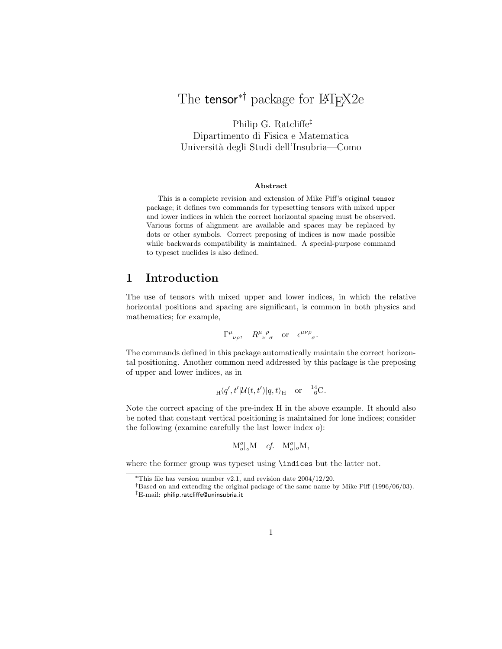# The tensor<sup>∗†</sup> package for L<sup>AT</sup>F<sub>X2</sub>e

Philip G. Ratcliffe‡ Dipartimento di Fisica e Matematica Universit`a degli Studi dell'Insubria—Como

#### Abstract

This is a complete revision and extension of Mike Piff's original tensor package; it defines two commands for typesetting tensors with mixed upper and lower indices in which the correct horizontal spacing must be observed. Various forms of alignment are available and spaces may be replaced by dots or other symbols. Correct preposing of indices is now made possible while backwards compatibility is maintained. A special-purpose command to typeset nuclides is also defined.

## 1 Introduction

The use of tensors with mixed upper and lower indices, in which the relative horizontal positions and spacing are significant, is common in both physics and mathematics; for example,

$$
\Gamma^{\mu}{}_{\nu\rho}, \quad R^{\mu}{}_{\nu}{}^{\rho}{}_{\sigma} \quad \text{or} \quad \epsilon^{\mu\nu\rho}{}_{\sigma}.
$$

The commands defined in this package automatically maintain the correct horizontal positioning. Another common need addressed by this package is the preposing of upper and lower indices, as in

$$
{}_{\text{H}}\langle q',t'|\mathcal{U}(t,t')|q,t\rangle_{\text{H}} \quad \text{or} \quad {}^{14}_{6}\text{C}.
$$

Note the correct spacing of the pre-index H in the above example. It should also be noted that constant vertical positioning is maintained for lone indices; consider the following (examine carefully the last lower index  $o$ ):

$$
\mathbf{M}_o^o|_o\mathbf{M} \quad \text{cf.} \quad \mathbf{M}_o^o|_o\mathbf{M},
$$

where the former group was typeset using \indices but the latter not.

<sup>∗</sup>This file has version number v2.1, and revision date 2004/12/20.

<sup>†</sup>Based on and extending the original package of the same name by Mike Piff (1996/06/03).

<sup>‡</sup>E-mail: philip.ratcliffe@uninsubria.it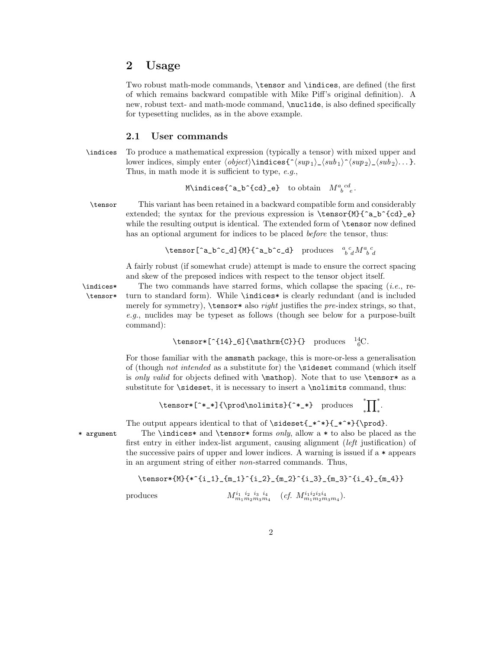### 2 Usage

Two robust math-mode commands, \tensor and \indices, are defined (the first of which remains backward compatible with Mike Piff's original definition). A new, robust text- and math-mode command, \nuclide, is also defined specifically for typesetting nuclides, as in the above example.

#### 2.1 User commands

\indices To produce a mathematical expression (typically a tensor) with mixed upper and lower indices, simply enter  $\{object\}\indices{\^sup_1\}_\sub{sup_1\_\sub{sup_2\}_\sub{sub_2\}... }$ . Thus, in math mode it is sufficient to type, e.g.,

$$
\texttt{M\backslash indices} \{ \texttt{^a_b\backslash \{cd\}_e} \} \quad \text{to obtain} \quad M^a_{\ b\ e}^{\ cd}.
$$

\tensor This variant has been retained in a backward compatible form and considerably extended; the syntax for the previous expression is  $\t{M}^{a_b}(d_e)$ while the resulting output is identical. The extended form of **\tensor** now defined has an optional argument for indices to be placed *before* the tensor, thus:

```
\tensor[^a_b^c_d]{M}{^a_b^c_d} produces a_c^c_d M^a_b^c_d
```
A fairly robust (if somewhat crude) attempt is made to ensure the correct spacing and skew of the preposed indices with respect to the tensor object itself.

\indices\* The two commands have starred forms, which collapse the spacing (i.e., re- \tensor\* turn to standard form). While \indices\* is clearly redundant (and is included merely for symmetry),  $\text{tensor*}$  also *right* justifies the *pre*-index strings, so that, e.g., nuclides may be typeset as follows (though see below for a purpose-built command):

```
\text{C} \tensor*[^{14}_6]{\mathrm{C}}{} produces ^{14}_{6}C.
```
For those familiar with the amsmath package, this is more-or-less a generalisation of (though not intended as a substitute for) the \sideset command (which itself is only valid for objects defined with  $\mathbb{D}$ . Note that to use  $\text{tensor*}$  as a substitute for **\sideset**, it is necessary to insert a **\nolimits** command, thus:

```
\tensor*[^*_*]{\prod\nolimits}{^*_*} produces
                                                     ^*\prod^*.
```
The output appears identical to that of  $\simeq$   $(*^*}{*Y*).$ 

\* argument The \indices\* and \tensor\* forms only, allow a \* to also be placed as the first entry in either index-list argument, causing alignment (left justification) of the successive pairs of upper and lower indices. A warning is issued if a  $*$  appears in an argument string of either non-starred commands. Thus,

 $\tthenscr[M]{*^i_1}_{m_1}^{i_2}_{m_2}^{i_3}_{m_3}^{i_4}_{m_4}$ 

produces

$$
M^{i_1 i_2 i_3 i_4}_{m_1 m_2 m_3 m_4} \quad (cf. \ M^{i_1 i_2 i_3 i_4}_{m_1 m_2 m_3 m_4}).
$$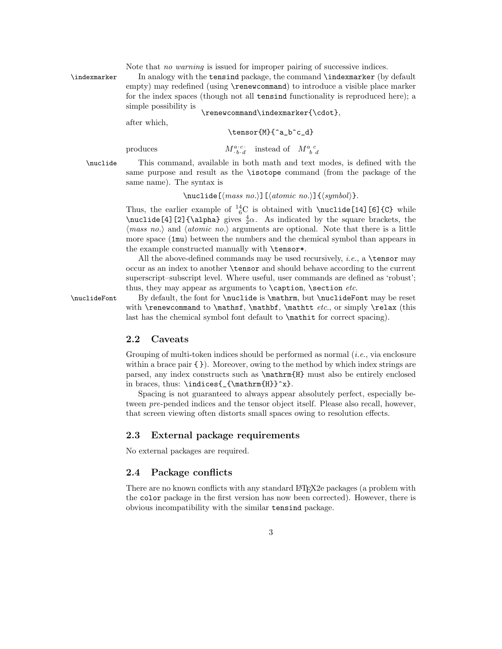Note that no warning is issued for improper pairing of successive indices.

\indexmarker In analogy with the tensind package, the command \indexmarker (by default empty) may redefined (using \renewcommand) to introduce a visible place marker for the index spaces (though not all tensind functionality is reproduced here); a simple possibility is \renewcommand\indexmarker{\cdot},

after which,

\tensor{M}{^a\_b^c\_d}

produces

 $\begin{array}{cc} a \cdot c \cdot b \cdot d \end{array}$  instead of  $M^a_{\ b}{}^c_{\ d}$ 

\nuclide This command, available in both math and text modes, is defined with the same purpose and result as the \isotope command (from the package of the same name). The syntax is

 $\{\nabla \lambda\}[\nabla \alpha s \, no.]\n{\langle \alpha s \rangle\}.\n]$ 

Thus, the earlier example of  $^{14}_{6}$ C is obtained with \nuclide[14][6]{C} while  $\nu$ clide[4][2]{\alpha} gives  $\frac{4}{2}\alpha$ . As indicated by the square brackets, the  $\langle mass\ no.\rangle$  and  $\langle atomic\ no.\rangle$  arguments are optional. Note that there is a little more space (1mu) between the numbers and the chemical symbol than appears in the example constructed manually with \tensor\*.

All the above-defined commands may be used recursively, *i.e.*, a **\tensor** may occur as an index to another \tensor and should behave according to the current superscript–subscript level. Where useful, user commands are defined as 'robust'; thus, they may appear as arguments to  $\c{a}$ ,  $\s{a}$ 

\nuclideFont By default, the font for \nuclide is \mathrm, but \nuclideFont may be reset with  $\Gamma$  to  $\mathbf{f}, \mathbf{f}$ ,  $\mathbf{f}$  etc., or simply  $\mathbf{f}$  (this last has the chemical symbol font default to \mathit for correct spacing).

### 2.2 Caveats

Grouping of multi-token indices should be performed as normal  $(i.e.,$  via enclosure within a brace pair  $\{\}$ ). Moreover, owing to the method by which index strings are parsed, any index constructs such as \mathrm{H} must also be entirely enclosed in braces, thus: \indices{\_{\mathrm{H}}^x}.

Spacing is not guaranteed to always appear absolutely perfect, especially between pre-pended indices and the tensor object itself. Please also recall, however, that screen viewing often distorts small spaces owing to resolution effects.

### 2.3 External package requirements

No external packages are required.

### 2.4 Package conflicts

There are no known conflicts with any standard LAT<sub>EX</sub>2e packages (a problem with the color package in the first version has now been corrected). However, there is obvious incompatibility with the similar tensind package.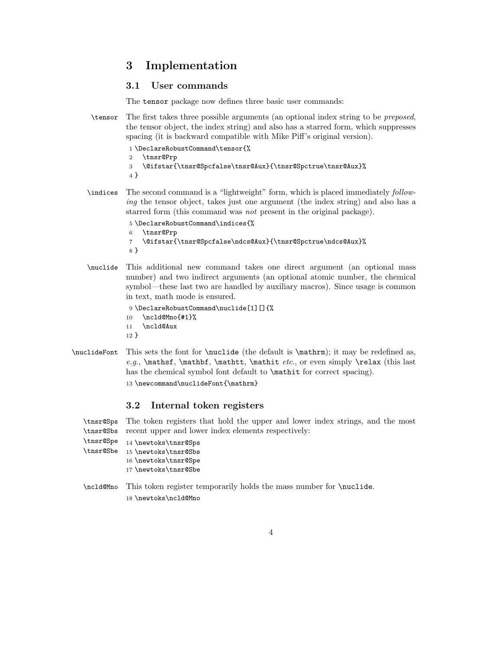## 3 Implementation

### 3.1 User commands

The tensor package now defines three basic user commands:

\tensor The first takes three possible arguments (an optional index string to be preposed, the tensor object, the index string) and also has a starred form, which suppresses spacing (it is backward compatible with Mike Piff's original version).

```
1 \DeclareRobustCommand\tensor{%
2 \tnsr@Prp
3 \@ifstar{\tnsr@Spcfalse\tnsr@Aux}{\tnsr@Spctrue\tnsr@Aux}%
4 }
```
\indices The second command is a "lightweight" form, which is placed immediately following the tensor object, takes just one argument (the index string) and also has a starred form (this command was not present in the original package).

```
5 \DeclareRobustCommand\indices{%
```
6 \tnsr@Prp

```
7 \@ifstar{\tnsr@Spcfalse\ndcs@Aux}{\tnsr@Spctrue\ndcs@Aux}%
```
- 8 }
- \nuclide This additional new command takes one direct argument (an optional mass number) and two indirect arguments (an optional atomic number, the chemical symbol—these last two are handled by auxiliary macros). Since usage is common in text, math mode is ensured.
	- 9 \DeclareRobustCommand\nuclide[1][]{%
	- 10 \ncld@Mno{#1}%
	- 11 \ncld@Aux
	- 12 }
- \nuclideFont This sets the font for \nuclide (the default is \mathrm); it may be redefined as, e.g.,  $\mathbf{, \mathbf{, \mathbf{, \mathbf{, \mathbf{,} \mathbf{,} \mathbf{,} \mathbf{,} \mathbf{,} \mathbf{,} \mathbf{,} \mathbf{,} \mathbf{,} \mathbf{,} \mathbf{,} \mathbf{,} \mathbf{,} \mathbf{,} \mathbf{,} \mathbf{,} \mathbf{,} \mathbf{,} \mathbf{,} \mathbf{,} \mathbf{,} \mathbf{,} \mathbf{,} \mathbf{,} \mathbf{,} \mathbf{,} \mathbf{,} \mathbf{,} \mathbf{,} \mathbf{,} \mathbf{,} \mathbf{,} \math$ has the chemical symbol font default to  $\mathcal{F}$  and for correct spacing).

13 \newcommand\nuclideFont{\mathrm}

### 3.2 Internal token registers

\tnsr@Sps The token registers that hold the upper and lower index strings, and the most \tnsr@Sbs recent upper and lower index elements respectively:

```
\tnsr@Spe
          14 \newtoks\tnsr@Sps
```

```
\tnsr@Sbe
15 \newtoks\tnsr@Sbs
```
- 16 \newtoks\tnsr@Spe
- 17 \newtoks\tnsr@Sbe
- \ncld@Mno This token register temporarily holds the mass number for \nuclide. 18 \newtoks\ncld@Mno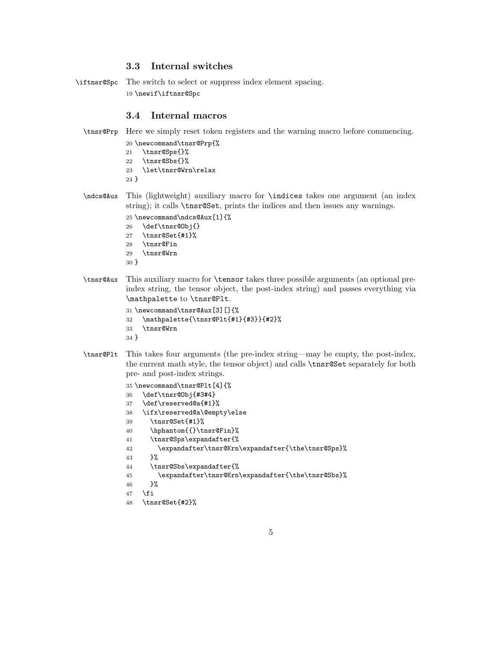### 3.3 Internal switches

\iftnsr@Spc The switch to select or suppress index element spacing. \newif\iftnsr@Spc

#### 3.4 Internal macros

```
\tnsr@Prp Here we simply reset token registers and the warning macro before commencing.
```
- \newcommand\tnsr@Prp{% \tnsr@Sps{}%
- \tnsr@Sbs{}% \let\tnsr@Wrn\relax }
- \ndcs@Aux This (lightweight) auxiliary macro for \indices takes one argument (an index string); it calls \tnsr@Set, prints the indices and then issues any warnings.

```
25 \newcommand\ndcs@Aux[1]{%
```
- \def\tnsr@Obj{}
- \tnsr@Set{#1}%
- \tnsr@Fin
- \tnsr@Wrn
- }
- \tnsr@Aux This auxiliary macro for \tensor takes three possible arguments (an optional preindex string, the tensor object, the post-index string) and passes everything via \mathpalette to \tnsr@Plt.

```
31 \newcommand\tnsr@Aux[3][]{%
32 \mathpalette{\tnsr@Plt{#1}{#3}}{#2}%
33 \tnsr@Wrn
34 }
```
\tnsr@Plt This takes four arguments (the pre-index string—may be empty, the post-index, the current math style, the tensor object) and calls \tnsr@Set separately for both pre- and post-index strings.

```
35 \newcommand\tnsr@Plt[4]{%
36 \def\tnsr@Obj{#3#4}
37 \def\reserved@a{#1}%
38 \ifx\reserved@a\@empty\else
39 \tnsr@Set{#1}%
40 \hphantom{{}\tnsr@Fin}%
41 \tnsr@Sps\expandafter{%
42 \expandafter\tnsr@Krn\expandafter{\the\tnsr@Sps}%
43 }%
44 \tnsr@Sbs\expandafter{%
45 \expandafter\tnsr@Krn\expandafter{\the\tnsr@Sbs}%
46 }%
47 \fi
48 \tnsr@Set{#2}%
```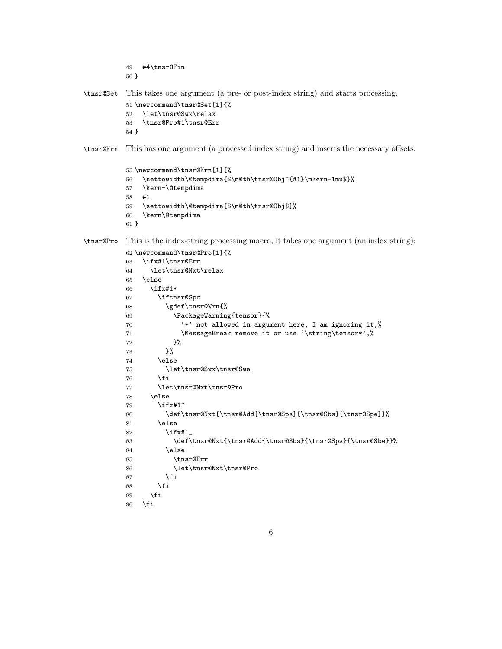#4\tnsr@Fin }

\tnsr@Set This takes one argument (a pre- or post-index string) and starts processing.

```
51 \newcommand\tnsr@Set[1]{%
52 \let\tnsr@Swx\relax
53 \tnsr@Pro#1\tnsr@Err
```
}

\tnsr@Krn This has one argument (a processed index string) and inserts the necessary offsets.

```
55 \newcommand\tnsr@Krn[1]{%
56 \settowidth\@tempdima{$\m@th\tnsr@Obj^{#1}\mkern-1mu$}%
57 \kern-\@tempdima
58 #1
59 \settowidth\@tempdima{$\m@th\tnsr@Obj$}%
60 \kern\@tempdima
61 }
```
\tnsr@Pro This is the index-string processing macro, it takes one argument (an index string):

```
62 \newcommand\tnsr@Pro[1]{%
63 \ifx#1\tnsr@Err
64 \let\tnsr@Nxt\relax
65 \else
66 \ifx#1*
67 \iftnsr@Spc
68 \gdef\tnsr@Wrn{%
69 \PackageWarning{tensor}{%
70 '*' not allowed in argument here, I am ignoring it,%
71 \MessageBreak remove it or use '\string\tensor*',%
72 }%
73 }%
74 \else
75 \let\tnsr@Swx\tnsr@Swa
76 \overline{f}77 \let\tnsr@Nxt\tnsr@Pro
78 \else
79 \ifx#1^
80 \label{cor:1} $$80 \def\tnsr@Nxt{\tnsr@Add{\tnsr@Sps}}{\tnsr@Sbs}_{\tnsr@Spe}}%81 \else
82 \iint x \neq 183 \def\tnsr@Nxt{\tnsr@Add{\tnsr@Sbs}{\tnsr@Sps}{\tnsr@Sbe}}%
84 \else
85 \tnsr@Err
86 \let\tnsr@Nxt\tnsr@Pro
87 \setminusfi
88 \overrightarrow{fi}89 \fi
90 \fi
```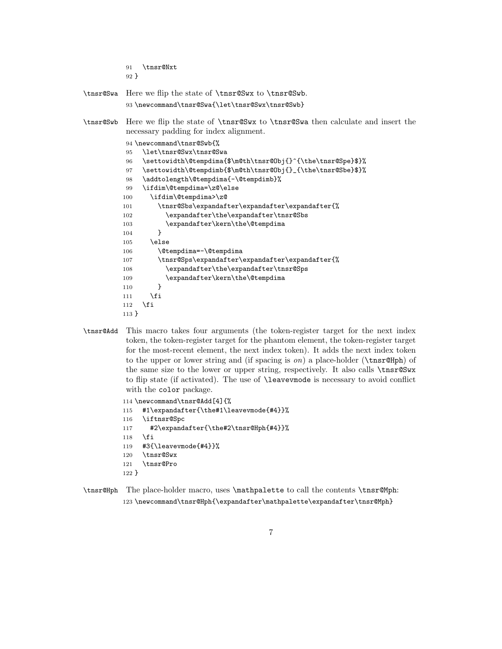- \tnsr@Nxt } \tnsr@Swa Here we flip the state of \tnsr@Swx to \tnsr@Swb. \newcommand\tnsr@Swa{\let\tnsr@Swx\tnsr@Swb} \tnsr@Swb Here we flip the state of \tnsr@Swx to \tnsr@Swa then calculate and insert the necessary padding for index alignment. \newcommand\tnsr@Swb{% \let\tnsr@Swx\tnsr@Swa \settowidth\@tempdima{\$\m@th\tnsr@Obj{}^{\the\tnsr@Spe}\$}% \settowidth\@tempdimb{\$\m@th\tnsr@Obj{}\_{\the\tnsr@Sbe}\$}% \addtolength\@tempdima{-\@tempdimb}% \ifdim\@tempdima=\z@\else \ifdim\@tempdima>\z@ \tnsr@Sbs\expandafter\expandafter\expandafter{% \expandafter\the\expandafter\tnsr@Sbs 103 \expandafter\kern\the\@tempdima 104 } \else 106 \@tempdima=-\@tempdima \tnsr@Sps\expandafter\expandafter\expandafter{% \expandafter\the\expandafter\tnsr@Sps 109 \expandafter\kern\the\@tempdima  $110 \quad \frac{1}{2}$ 111  $\overrightarrow{fi}$  \fi }
- \tnsr@Add This macro takes four arguments (the token-register target for the next index token, the token-register target for the phantom element, the token-register target for the most-recent element, the next index token). It adds the next index token to the upper or lower string and (if spacing is  $\text{o}n$ ) a place-holder (\tnsr@Hph) of the same size to the lower or upper string, respectively. It also calls \tnsr@Swx to flip state (if activated). The use of \leavevmode is necessary to avoid conflict with the color package.

```
114 \newcommand\tnsr@Add[4]{%
115 #1\expandafter{\the#1\leavevmode{#4}}%
116 \iftnsr@Spc
117 #2\expandafter{\the#2\tnsr@Hph{#4}}%
118 \fi
119 #3{\leavevmode{#4}}%
120 \tnsr@Swx
121 \tnsr@Pro
122 }
```
\tnsr@Hph The place-holder macro, uses \mathpalette to call the contents \tnsr@Mph: \newcommand\tnsr@Hph{\expandafter\mathpalette\expandafter\tnsr@Mph}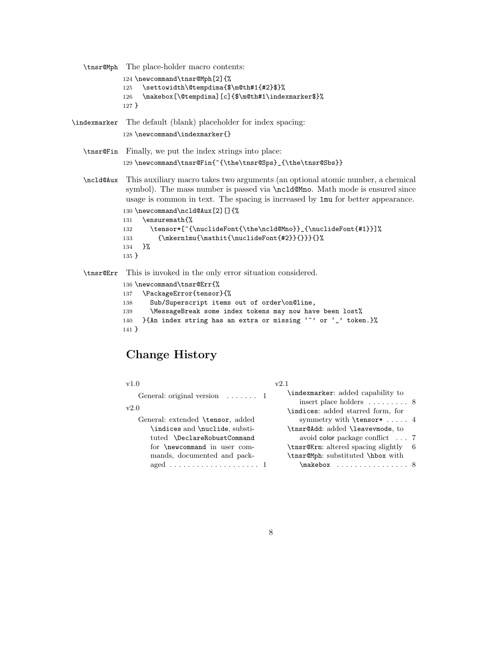\tnsr@Mph The place-holder macro contents: 124 \newcommand\tnsr@Mph[2]{% 125 \settowidth\@tempdima{\$\m@th#1{#2}\$}% 126 \makebox[\@tempdima][c]{\$\m@th#1\indexmarker\$}% 127 } \indexmarker The default (blank) placeholder for index spacing: 128 \newcommand\indexmarker{} \tnsr@Fin Finally, we put the index strings into place: 129 \newcommand\tnsr@Fin{^{\the\tnsr@Sps}\_{\the\tnsr@Sbs}} \ncld@Aux This auxiliary macro takes two arguments (an optional atomic number, a chemical symbol). The mass number is passed via \ncld@Mno. Math mode is ensured since usage is common in text. The spacing is increased by 1mu for better appearance. 130 \newcommand\ncld@Aux[2][]{% 131 \ensuremath{% 132 \tensor\*[^{\nuclideFont{\the\ncld@Mno}}\_{\nuclideFont{#1}}]% 133 {\mkern1mu{\mathit{\nuclideFont{#2}}{}}}{} 134 }% 135 } \tnsr@Err This is invoked in the only error situation considered. 136 \newcommand\tnsr@Err{%

```
137 \PackageError{tensor}{%
138 Sub/Superscript items out of order\on@line,
139 \MessageBreak some index tokens may now have been lost%
140 }{An index string has an extra or missing '<sup>o</sup>' or '_' token.}%
141 }
```
# Change History

| v1.0                                      | v2.1                                                         |
|-------------------------------------------|--------------------------------------------------------------|
| General: original version $\dots \dots 1$ | \indexmarker: added capability to<br>insert place holders  8 |
| v2.0                                      | \indices: added starred form, for                            |
| General: extended \tensor, added          | symmetry with $\text{tensor*} \dots$ 4                       |
| \indices and \nuclide, substi-            | \tnsr@Add: added \leavevmode, to                             |
| tuted \DeclareRobustCommand               | avoid color package conflict 7                               |
| for \newcommand in user com-              | \tnsr@Krn: altered spacing slightly 6                        |
| mands, documented and pack-               | \tnsr@Mph: substituted \hbox with                            |
| aged  1                                   | $\mathcal{E}$                                                |